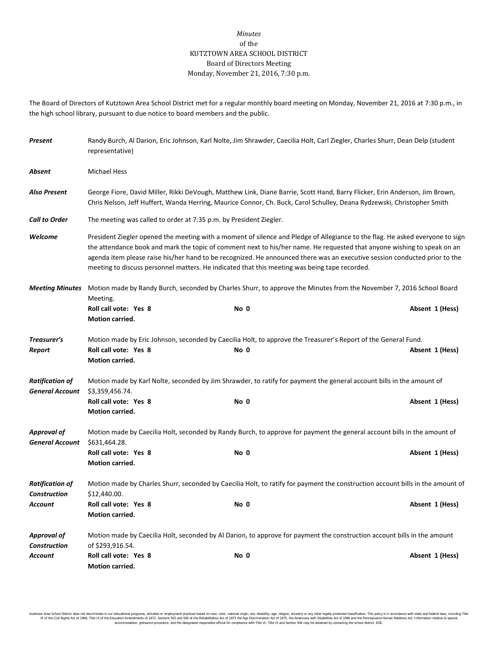## *Minutes* of the KUTZTOWN AREA SCHOOL DISTRICT Board of Directors Meeting Monday, November 21, 2016, 7:30 p.m.

The Board of Directors of Kutztown Area School District met for a regular monthly board meeting on Monday, November 21, 2016 at 7:30 p.m., in the high school library, pursuant to due notice to board members and the public.

| Present                                          | Randy Burch, Al Darion, Eric Johnson, Karl Nolte, Jim Shrawder, Caecilia Holt, Carl Ziegler, Charles Shurr, Dean Delp (student<br>representative)                                                                                                                                                                                                                                                                                                                                       |      |  |                 |  |  |
|--------------------------------------------------|-----------------------------------------------------------------------------------------------------------------------------------------------------------------------------------------------------------------------------------------------------------------------------------------------------------------------------------------------------------------------------------------------------------------------------------------------------------------------------------------|------|--|-----------------|--|--|
| Absent                                           | <b>Michael Hess</b>                                                                                                                                                                                                                                                                                                                                                                                                                                                                     |      |  |                 |  |  |
| Also Present                                     | George Fiore, David Miller, Rikki DeVough, Matthew Link, Diane Barrie, Scott Hand, Barry Flicker, Erin Anderson, Jim Brown,<br>Chris Nelson, Jeff Huffert, Wanda Herring, Maurice Connor, Ch. Buck, Carol Schulley, Deana Rydzewski, Christopher Smith                                                                                                                                                                                                                                  |      |  |                 |  |  |
| <b>Call to Order</b>                             | The meeting was called to order at 7:35 p.m. by President Ziegler.                                                                                                                                                                                                                                                                                                                                                                                                                      |      |  |                 |  |  |
| Welcome                                          | President Ziegler opened the meeting with a moment of silence and Pledge of Allegiance to the flag. He asked everyone to sign<br>the attendance book and mark the topic of comment next to his/her name. He requested that anyone wishing to speak on an<br>agenda item please raise his/her hand to be recognized. He announced there was an executive session conducted prior to the<br>meeting to discuss personnel matters. He indicated that this meeting was being tape recorded. |      |  |                 |  |  |
| <b>Meeting Minutes</b>                           | Motion made by Randy Burch, seconded by Charles Shurr, to approve the Minutes from the November 7, 2016 School Board<br>Meeting.                                                                                                                                                                                                                                                                                                                                                        |      |  |                 |  |  |
|                                                  | Roll call vote: Yes 8<br>Motion carried.                                                                                                                                                                                                                                                                                                                                                                                                                                                | No 0 |  | Absent 1 (Hess) |  |  |
| Treasurer's<br>Report                            | Motion made by Eric Johnson, seconded by Caecilia Holt, to approve the Treasurer's Report of the General Fund.<br>Roll call vote: Yes 8<br>Motion carried.                                                                                                                                                                                                                                                                                                                              | No 0 |  | Absent 1 (Hess) |  |  |
| <b>Ratification of</b><br><b>General Account</b> | Motion made by Karl Nolte, seconded by Jim Shrawder, to ratify for payment the general account bills in the amount of<br>\$3,359,456.74.                                                                                                                                                                                                                                                                                                                                                |      |  |                 |  |  |
|                                                  | Roll call vote: Yes 8<br>Motion carried.                                                                                                                                                                                                                                                                                                                                                                                                                                                | No 0 |  | Absent 1 (Hess) |  |  |
| <b>Approval of</b><br><b>General Account</b>     | Motion made by Caecilia Holt, seconded by Randy Burch, to approve for payment the general account bills in the amount of<br>\$631,464.28.                                                                                                                                                                                                                                                                                                                                               |      |  |                 |  |  |
|                                                  | Roll call vote: Yes 8<br>Motion carried.                                                                                                                                                                                                                                                                                                                                                                                                                                                | No 0 |  | Absent 1 (Hess) |  |  |
| <b>Ratification of</b><br><b>Construction</b>    | Motion made by Charles Shurr, seconded by Caecilia Holt, to ratify for payment the construction account bills in the amount of<br>\$12,440.00.                                                                                                                                                                                                                                                                                                                                          |      |  |                 |  |  |
| Account                                          | Roll call vote: Yes 8<br><b>Motion carried.</b>                                                                                                                                                                                                                                                                                                                                                                                                                                         | No 0 |  | Absent 1 (Hess) |  |  |
| <b>Approval of</b><br><b>Construction</b>        | Motion made by Caecilia Holt, seconded by Al Darion, to approve for payment the construction account bills in the amount<br>of \$293,916.54.                                                                                                                                                                                                                                                                                                                                            |      |  |                 |  |  |
| Account                                          | Roll call vote: Yes 8<br>Motion carried.                                                                                                                                                                                                                                                                                                                                                                                                                                                | No 0 |  | Absent 1 (Hess) |  |  |

Kutzlown Area School District does not discriminate in our oducational programs, activities or employment practices based on racional origin and the in the search of the search of the School Area in the School of the Schoo accommodation, grievance procedure, and the designated responsible official for compliance with Title VI, Title IX and Section 504 may be obtained by contacting the school district. EOE.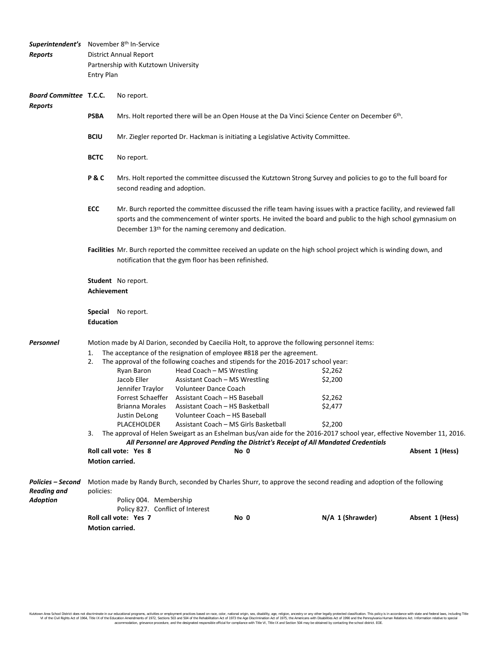|                                                                   | Superintendent's November 8th In-Service                                                                                                                                                      |                                                                                                                                                                                                                                                                                                           |                                                                                                                        |                  |                 |  |  |  |
|-------------------------------------------------------------------|-----------------------------------------------------------------------------------------------------------------------------------------------------------------------------------------------|-----------------------------------------------------------------------------------------------------------------------------------------------------------------------------------------------------------------------------------------------------------------------------------------------------------|------------------------------------------------------------------------------------------------------------------------|------------------|-----------------|--|--|--|
| <b>Reports</b>                                                    | <b>District Annual Report</b>                                                                                                                                                                 |                                                                                                                                                                                                                                                                                                           |                                                                                                                        |                  |                 |  |  |  |
|                                                                   |                                                                                                                                                                                               | Partnership with Kutztown University                                                                                                                                                                                                                                                                      |                                                                                                                        |                  |                 |  |  |  |
|                                                                   | <b>Entry Plan</b>                                                                                                                                                                             |                                                                                                                                                                                                                                                                                                           |                                                                                                                        |                  |                 |  |  |  |
|                                                                   |                                                                                                                                                                                               |                                                                                                                                                                                                                                                                                                           |                                                                                                                        |                  |                 |  |  |  |
| <b>Board Committee T.C.C.</b><br><b>Reports</b>                   |                                                                                                                                                                                               | No report.                                                                                                                                                                                                                                                                                                |                                                                                                                        |                  |                 |  |  |  |
|                                                                   | <b>PSBA</b>                                                                                                                                                                                   | Mrs. Holt reported there will be an Open House at the Da Vinci Science Center on December 6 <sup>th</sup> .                                                                                                                                                                                               |                                                                                                                        |                  |                 |  |  |  |
|                                                                   | <b>BCIU</b>                                                                                                                                                                                   | Mr. Ziegler reported Dr. Hackman is initiating a Legislative Activity Committee.                                                                                                                                                                                                                          |                                                                                                                        |                  |                 |  |  |  |
|                                                                   | <b>BCTC</b>                                                                                                                                                                                   | No report.                                                                                                                                                                                                                                                                                                |                                                                                                                        |                  |                 |  |  |  |
|                                                                   | P&C                                                                                                                                                                                           | Mrs. Holt reported the committee discussed the Kutztown Strong Survey and policies to go to the full board for<br>second reading and adoption.                                                                                                                                                            |                                                                                                                        |                  |                 |  |  |  |
|                                                                   | ECC                                                                                                                                                                                           | Mr. Burch reported the committee discussed the rifle team having issues with a practice facility, and reviewed fall<br>sports and the commencement of winter sports. He invited the board and public to the high school gymnasium on<br>December 13 <sup>th</sup> for the naming ceremony and dedication. |                                                                                                                        |                  |                 |  |  |  |
|                                                                   |                                                                                                                                                                                               | Facilities Mr. Burch reported the committee received an update on the high school project which is winding down, and<br>notification that the gym floor has been refinished.                                                                                                                              |                                                                                                                        |                  |                 |  |  |  |
|                                                                   |                                                                                                                                                                                               | <b>Student</b> No report.                                                                                                                                                                                                                                                                                 |                                                                                                                        |                  |                 |  |  |  |
|                                                                   | <b>Achievement</b>                                                                                                                                                                            |                                                                                                                                                                                                                                                                                                           |                                                                                                                        |                  |                 |  |  |  |
|                                                                   |                                                                                                                                                                                               |                                                                                                                                                                                                                                                                                                           |                                                                                                                        |                  |                 |  |  |  |
|                                                                   |                                                                                                                                                                                               | <b>Special</b> No report.                                                                                                                                                                                                                                                                                 |                                                                                                                        |                  |                 |  |  |  |
|                                                                   | <b>Education</b>                                                                                                                                                                              |                                                                                                                                                                                                                                                                                                           |                                                                                                                        |                  |                 |  |  |  |
|                                                                   |                                                                                                                                                                                               |                                                                                                                                                                                                                                                                                                           |                                                                                                                        |                  |                 |  |  |  |
| Personnel                                                         | Motion made by Al Darion, seconded by Caecilia Holt, to approve the following personnel items:                                                                                                |                                                                                                                                                                                                                                                                                                           |                                                                                                                        |                  |                 |  |  |  |
|                                                                   | The acceptance of the resignation of employee #818 per the agreement.<br>1.                                                                                                                   |                                                                                                                                                                                                                                                                                                           |                                                                                                                        |                  |                 |  |  |  |
|                                                                   | 2.                                                                                                                                                                                            |                                                                                                                                                                                                                                                                                                           | The approval of the following coaches and stipends for the 2016-2017 school year:                                      |                  |                 |  |  |  |
|                                                                   |                                                                                                                                                                                               | Ryan Baron                                                                                                                                                                                                                                                                                                | Head Coach - MS Wrestling                                                                                              | \$2,262          |                 |  |  |  |
|                                                                   |                                                                                                                                                                                               | Jacob Eller                                                                                                                                                                                                                                                                                               | Assistant Coach - MS Wrestling                                                                                         | \$2,200          |                 |  |  |  |
|                                                                   |                                                                                                                                                                                               | Jennifer Traylor                                                                                                                                                                                                                                                                                          | <b>Volunteer Dance Coach</b>                                                                                           |                  |                 |  |  |  |
|                                                                   |                                                                                                                                                                                               |                                                                                                                                                                                                                                                                                                           | Forrest Schaeffer Assistant Coach - HS Baseball<br>Brianna Morales Assistant Coach - HS Basketball                     | \$2,262          |                 |  |  |  |
|                                                                   |                                                                                                                                                                                               | Justin DeLong                                                                                                                                                                                                                                                                                             | Volunteer Coach - HS Baseball                                                                                          | \$2,477          |                 |  |  |  |
|                                                                   |                                                                                                                                                                                               | PLACEHOLDER                                                                                                                                                                                                                                                                                               | Assistant Coach - MS Girls Basketball                                                                                  | \$2,200          |                 |  |  |  |
|                                                                   | 3.                                                                                                                                                                                            |                                                                                                                                                                                                                                                                                                           | The approval of Helen Sweigart as an Eshelman bus/van aide for the 2016-2017 school year, effective November 11, 2016. |                  |                 |  |  |  |
|                                                                   | All Personnel are Approved Pending the District's Receipt of All Mandated Credentials                                                                                                         |                                                                                                                                                                                                                                                                                                           |                                                                                                                        |                  |                 |  |  |  |
|                                                                   |                                                                                                                                                                                               | Roll call vote: Yes 8                                                                                                                                                                                                                                                                                     | No 0                                                                                                                   |                  | Absent 1 (Hess) |  |  |  |
|                                                                   | <b>Motion carried.</b>                                                                                                                                                                        |                                                                                                                                                                                                                                                                                                           |                                                                                                                        |                  |                 |  |  |  |
| <b>Policies - Second</b><br><b>Reading and</b><br><b>Adoption</b> | Motion made by Randy Burch, seconded by Charles Shurr, to approve the second reading and adoption of the following<br>policies:<br>Policy 004. Membership<br>Policy 827. Conflict of Interest |                                                                                                                                                                                                                                                                                                           |                                                                                                                        |                  |                 |  |  |  |
|                                                                   |                                                                                                                                                                                               | Roll call vote: Yes 7                                                                                                                                                                                                                                                                                     | No 0                                                                                                                   | N/A 1 (Shrawder) | Absent 1 (Hess) |  |  |  |
|                                                                   | Motion carried.                                                                                                                                                                               |                                                                                                                                                                                                                                                                                                           |                                                                                                                        |                  |                 |  |  |  |